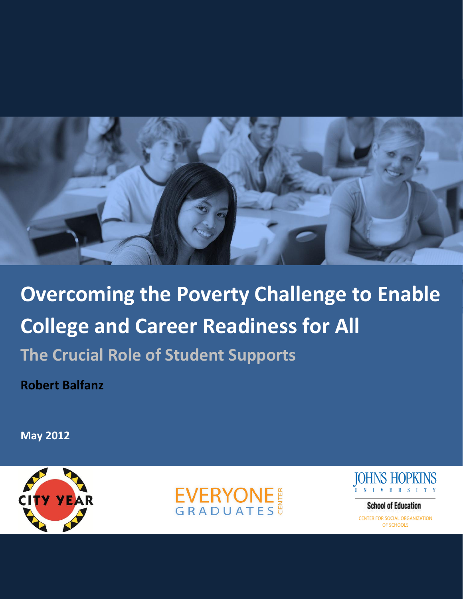

**Overcoming the Poverty Challenge to Enable College and Career Readiness for All The Crucial Role of Student Supports**

**Robert Balfanz**

**May 2012**







**School of Education** CENTER FOR SOCIAL ORGANIZATION OF SCHOOLS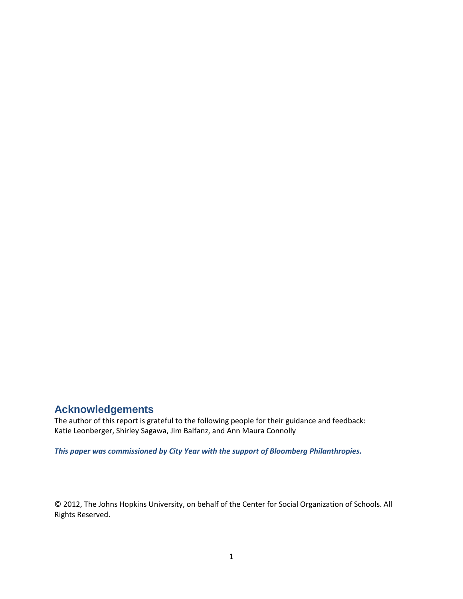# **Acknowledgements**

The author of this report is grateful to the following people for their guidance and feedback: Katie Leonberger, Shirley Sagawa, Jim Balfanz, and Ann Maura Connolly

*This paper was commissioned by City Year with the support of Bloomberg Philanthropies.* 

© 2012, The Johns Hopkins University, on behalf of the Center for Social Organization of Schools. All Rights Reserved.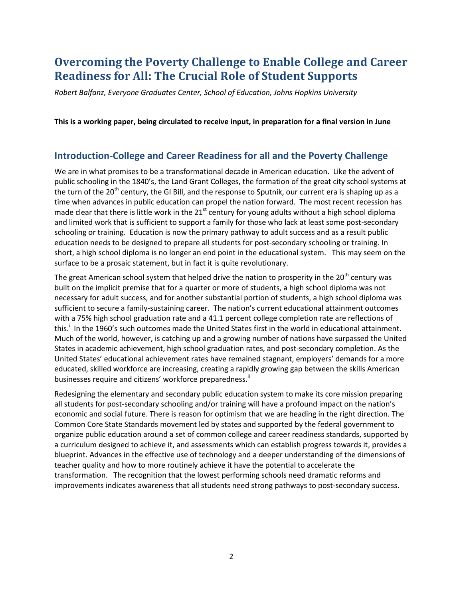# **Overcoming the Poverty Challenge to Enable College and Career Readiness for All: The Crucial Role of Student Supports**

*Robert Balfanz, Everyone Graduates Center, School of Education, Johns Hopkins University*

**This is a working paper, being circulated to receive input, in preparation for a final version in June**

## **Introduction-College and Career Readiness for all and the Poverty Challenge**

We are in what promises to be a transformational decade in American education. Like the advent of public schooling in the 1840's, the Land Grant Colleges, the formation of the great city school systems at the turn of the 20<sup>th</sup> century, the GI Bill, and the response to Sputnik, our current era is shaping up as a time when advances in public education can propel the nation forward. The most recent recession has made clear that there is little work in the  $21<sup>st</sup>$  century for young adults without a high school diploma and limited work that is sufficient to support a family for those who lack at least some post-secondary schooling or training. Education is now the primary pathway to adult success and as a result public education needs to be designed to prepare all students for post-secondary schooling or training. In short, a high school diploma is no longer an end point in the educational system. This may seem on the surface to be a prosaic statement, but in fact it is quite revolutionary.

The great American school system that helped drive the nation to prosperity in the  $20<sup>th</sup>$  century was built on the implicit premise that for a quarter or more of students, a high school diploma was not necessary for adult success, and for another substantial portion of students, a high school diploma was sufficient to secure a family-sustaining career. The nation's current educational attainment outcomes with a 75% high school graduation rate and a 41.1 percent college completion rate are reflections of this.<sup>i</sup> In the 1960's such outcomes made the United States first in the world in educational attainment. Much of the world, however, is catching up and a growing number of nations have surpassed the United States in academic achievement, high school graduation rates, and post-secondary completion. As the United States' educational achievement rates have remained stagnant, employers' demands for a more educated, skilled workforce are increasing, creating a rapidly growing gap between the skills American businesses require and citizens' workforce preparedness.<sup>"</sup>

Redesigning the elementary and secondary public education system to make its core mission preparing all students for post-secondary schooling and/or training will have a profound impact on the nation's economic and social future. There is reason for optimism that we are heading in the right direction. The Common Core State Standards movement led by states and supported by the federal government to organize public education around a set of common college and career readiness standards, supported by a curriculum designed to achieve it, and assessments which can establish progress towards it, provides a blueprint. Advances in the effective use of technology and a deeper understanding of the dimensions of teacher quality and how to more routinely achieve it have the potential to accelerate the transformation. The recognition that the lowest performing schools need dramatic reforms and improvements indicates awareness that all students need strong pathways to post-secondary success.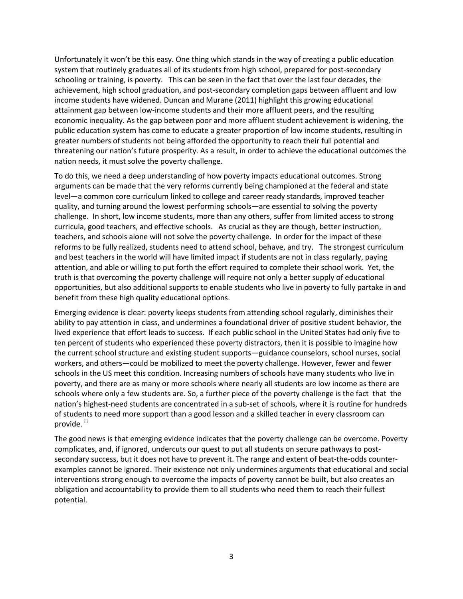Unfortunately it won't be this easy. One thing which stands in the way of creating a public education system that routinely graduates all of its students from high school, prepared for post-secondary schooling or training, is poverty. This can be seen in the fact that over the last four decades, the achievement, high school graduation, and post-secondary completion gaps between affluent and low income students have widened. Duncan and Murane (2011) highlight this growing educational attainment gap between low-income students and their more affluent peers, and the resulting economic inequality. As the gap between poor and more affluent student achievement is widening, the public education system has come to educate a greater proportion of low income students, resulting in greater numbers of students not being afforded the opportunity to reach their full potential and threatening our nation's future prosperity. As a result, in order to achieve the educational outcomes the nation needs, it must solve the poverty challenge.

To do this, we need a deep understanding of how poverty impacts educational outcomes. Strong arguments can be made that the very reforms currently being championed at the federal and state level—a common core curriculum linked to college and career ready standards, improved teacher quality, and turning around the lowest performing schools—are essential to solving the poverty challenge. In short, low income students, more than any others, suffer from limited access to strong curricula, good teachers, and effective schools. As crucial as they are though, better instruction, teachers, and schools alone will not solve the poverty challenge. In order for the impact of these reforms to be fully realized, students need to attend school, behave, and try. The strongest curriculum and best teachers in the world will have limited impact if students are not in class regularly, paying attention, and able or willing to put forth the effort required to complete their school work. Yet, the truth is that overcoming the poverty challenge will require not only a better supply of educational opportunities, but also additional supports to enable students who live in poverty to fully partake in and benefit from these high quality educational options.

Emerging evidence is clear: poverty keeps students from attending school regularly, diminishes their ability to pay attention in class, and undermines a foundational driver of positive student behavior, the lived experience that effort leads to success. If each public school in the United States had only five to ten percent of students who experienced these poverty distractors, then it is possible to imagine how the current school structure and existing student supports—guidance counselors, school nurses, social workers, and others—could be mobilized to meet the poverty challenge. However, fewer and fewer schools in the US meet this condition. Increasing numbers of schools have many students who live in poverty, and there are as many or more schools where nearly all students are low income as there are schools where only a few students are. So, a further piece of the poverty challenge is the fact that the nation's highest-need students are concentrated in a sub-set of schools, where it is routine for hundreds of students to need more support than a good lesson and a skilled teacher in every classroom can provide. <sup>iii</sup>

The good news is that emerging evidence indicates that the poverty challenge can be overcome. Poverty complicates, and, if ignored, undercuts our quest to put all students on secure pathways to postsecondary success, but it does not have to prevent it. The range and extent of beat-the-odds counterexamples cannot be ignored. Their existence not only undermines arguments that educational and social interventions strong enough to overcome the impacts of poverty cannot be built, but also creates an obligation and accountability to provide them to all students who need them to reach their fullest potential.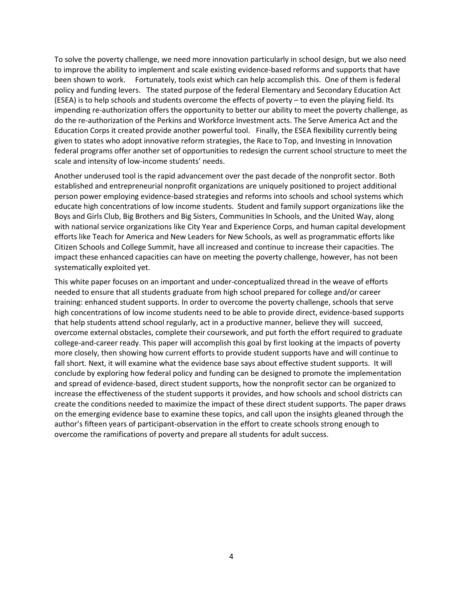To solve the poverty challenge, we need more innovation particularly in school design, but we also need to improve the ability to implement and scale existing evidence-based reforms and supports that have been shown to work. Fortunately, tools exist which can help accomplish this. One of them is federal policy and funding levers. The stated purpose of the federal Elementary and Secondary Education Act (ESEA) is to help schools and students overcome the effects of poverty – to even the playing field. Its impending re-authorization offers the opportunity to better our ability to meet the poverty challenge, as do the re-authorization of the Perkins and Workforce Investment acts. The Serve America Act and the Education Corps it created provide another powerful tool. Finally, the ESEA flexibility currently being given to states who adopt innovative reform strategies, the Race to Top, and Investing in Innovation federal programs offer another set of opportunities to redesign the current school structure to meet the scale and intensity of low-income students' needs.

Another underused tool is the rapid advancement over the past decade of the nonprofit sector. Both established and entrepreneurial nonprofit organizations are uniquely positioned to project additional person power employing evidence-based strategies and reforms into schools and school systems which educate high concentrations of low income students. Student and family support organizations like the Boys and Girls Club, Big Brothers and Big Sisters, Communities In Schools, and the United Way, along with national service organizations like City Year and Experience Corps, and human capital development efforts like Teach for America and New Leaders for New Schools, as well as programmatic efforts like Citizen Schools and College Summit, have all increased and continue to increase their capacities. The impact these enhanced capacities can have on meeting the poverty challenge, however, has not been systematically exploited yet.

This white paper focuses on an important and under-conceptualized thread in the weave of efforts needed to ensure that all students graduate from high school prepared for college and/or career training: enhanced student supports. In order to overcome the poverty challenge, schools that serve high concentrations of low income students need to be able to provide direct, evidence-based supports that help students attend school regularly, act in a productive manner, believe they will succeed, overcome external obstacles, complete their coursework, and put forth the effort required to graduate college-and-career ready. This paper will accomplish this goal by first looking at the impacts of poverty more closely, then showing how current efforts to provide student supports have and will continue to fall short. Next, it will examine what the evidence base says about effective student supports. It will conclude by exploring how federal policy and funding can be designed to promote the implementation and spread of evidence-based, direct student supports, how the nonprofit sector can be organized to increase the effectiveness of the student supports it provides, and how schools and school districts can create the conditions needed to maximize the impact of these direct student supports. The paper draws on the emerging evidence base to examine these topics, and call upon the insights gleaned through the author's fifteen years of participant-observation in the effort to create schools strong enough to overcome the ramifications of poverty and prepare all students for adult success.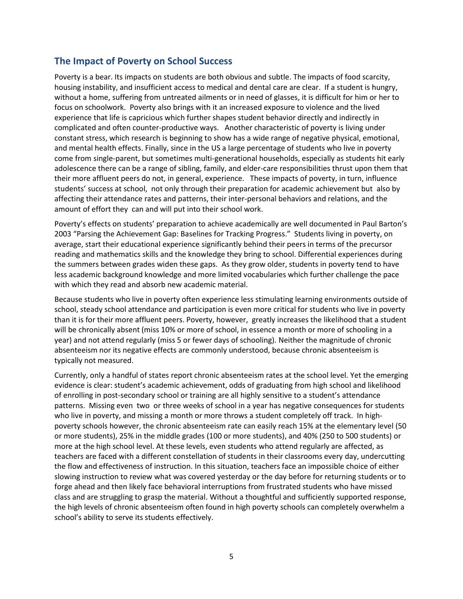## **The Impact of Poverty on School Success**

Poverty is a bear. Its impacts on students are both obvious and subtle. The impacts of food scarcity, housing instability, and insufficient access to medical and dental care are clear. If a student is hungry, without a home, suffering from untreated ailments or in need of glasses, it is difficult for him or her to focus on schoolwork. Poverty also brings with it an increased exposure to violence and the lived experience that life is capricious which further shapes student behavior directly and indirectly in complicated and often counter-productive ways. Another characteristic of poverty is living under constant stress, which research is beginning to show has a wide range of negative physical, emotional, and mental health effects. Finally, since in the US a large percentage of students who live in poverty come from single-parent, but sometimes multi-generational households, especially as students hit early adolescence there can be a range of sibling, family, and elder-care responsibilities thrust upon them that their more affluent peers do not, in general, experience. These impacts of poverty, in turn, influence students' success at school, not only through their preparation for academic achievement but also by affecting their attendance rates and patterns, their inter-personal behaviors and relations, and the amount of effort they can and will put into their school work.

Poverty's effects on students' preparation to achieve academically are well documented in Paul Barton's 2003 "Parsing the Achievement Gap: Baselines for Tracking Progress." Students living in poverty, on average, start their educational experience significantly behind their peers in terms of the precursor reading and mathematics skills and the knowledge they bring to school. Differential experiences during the summers between grades widen these gaps. As they grow older, students in poverty tend to have less academic background knowledge and more limited vocabularies which further challenge the pace with which they read and absorb new academic material.

Because students who live in poverty often experience less stimulating learning environments outside of school, steady school attendance and participation is even more critical for students who live in poverty than it is for their more affluent peers. Poverty, however, greatly increases the likelihood that a student will be chronically absent (miss 10% or more of school, in essence a month or more of schooling in a year) and not attend regularly (miss 5 or fewer days of schooling). Neither the magnitude of chronic absenteeism nor its negative effects are commonly understood, because chronic absenteeism is typically not measured.

Currently, only a handful of states report chronic absenteeism rates at the school level. Yet the emerging evidence is clear: student's academic achievement, odds of graduating from high school and likelihood of enrolling in post-secondary school or training are all highly sensitive to a student's attendance patterns. Missing even two or three weeks of school in a year has negative consequences for students who live in poverty, and missing a month or more throws a student completely off track. In highpoverty schools however, the chronic absenteeism rate can easily reach 15% at the elementary level (50 or more students), 25% in the middle grades (100 or more students), and 40% (250 to 500 students) or more at the high school level. At these levels, even students who attend regularly are affected, as teachers are faced with a different constellation of students in their classrooms every day, undercutting the flow and effectiveness of instruction. In this situation, teachers face an impossible choice of either slowing instruction to review what was covered yesterday or the day before for returning students or to forge ahead and then likely face behavioral interruptions from frustrated students who have missed class and are struggling to grasp the material. Without a thoughtful and sufficiently supported response, the high levels of chronic absenteeism often found in high poverty schools can completely overwhelm a school's ability to serve its students effectively.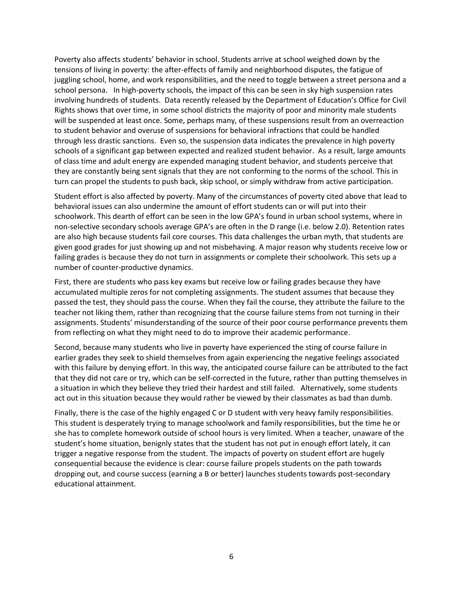Poverty also affects students' behavior in school. Students arrive at school weighed down by the tensions of living in poverty: the after-effects of family and neighborhood disputes, the fatigue of juggling school, home, and work responsibilities, and the need to toggle between a street persona and a school persona. In high-poverty schools, the impact of this can be seen in sky high suspension rates involving hundreds of students. Data recently released by the Department of Education's Office for Civil Rights shows that over time, in some school districts the majority of poor and minority male students will be suspended at least once. Some, perhaps many, of these suspensions result from an overreaction to student behavior and overuse of suspensions for behavioral infractions that could be handled through less drastic sanctions. Even so, the suspension data indicates the prevalence in high poverty schools of a significant gap between expected and realized student behavior. As a result, large amounts of class time and adult energy are expended managing student behavior, and students perceive that they are constantly being sent signals that they are not conforming to the norms of the school. This in turn can propel the students to push back, skip school, or simply withdraw from active participation.

Student effort is also affected by poverty. Many of the circumstances of poverty cited above that lead to behavioral issues can also undermine the amount of effort students can or will put into their schoolwork. This dearth of effort can be seen in the low GPA's found in urban school systems, where in non-selective secondary schools average GPA's are often in the D range (i.e. below 2.0). Retention rates are also high because students fail core courses. This data challenges the urban myth, that students are given good grades for just showing up and not misbehaving. A major reason why students receive low or failing grades is because they do not turn in assignments or complete their schoolwork. This sets up a number of counter-productive dynamics.

First, there are students who pass key exams but receive low or failing grades because they have accumulated multiple zeros for not completing assignments. The student assumes that because they passed the test, they should pass the course. When they fail the course, they attribute the failure to the teacher not liking them, rather than recognizing that the course failure stems from not turning in their assignments. Students' misunderstanding of the source of their poor course performance prevents them from reflecting on what they might need to do to improve their academic performance.

Second, because many students who live in poverty have experienced the sting of course failure in earlier grades they seek to shield themselves from again experiencing the negative feelings associated with this failure by denying effort. In this way, the anticipated course failure can be attributed to the fact that they did not care or try, which can be self-corrected in the future, rather than putting themselves in a situation in which they believe they tried their hardest and still failed. Alternatively, some students act out in this situation because they would rather be viewed by their classmates as bad than dumb.

Finally, there is the case of the highly engaged C or D student with very heavy family responsibilities. This student is desperately trying to manage schoolwork and family responsibilities, but the time he or she has to complete homework outside of school hours is very limited. When a teacher, unaware of the student's home situation, benignly states that the student has not put in enough effort lately, it can trigger a negative response from the student. The impacts of poverty on student effort are hugely consequential because the evidence is clear: course failure propels students on the path towards dropping out, and course success (earning a B or better) launches students towards post-secondary educational attainment.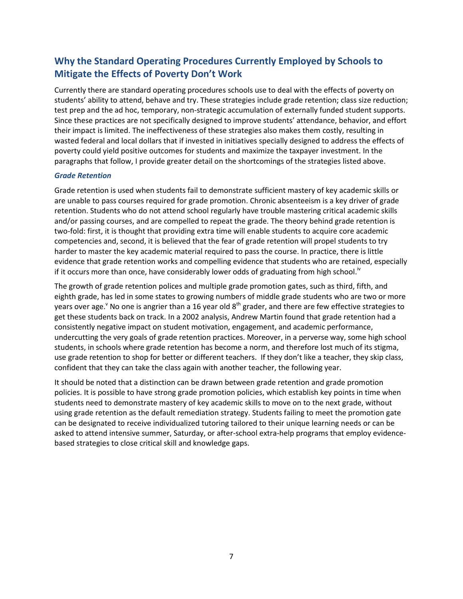# **Why the Standard Operating Procedures Currently Employed by Schools to Mitigate the Effects of Poverty Don't Work**

Currently there are standard operating procedures schools use to deal with the effects of poverty on students' ability to attend, behave and try. These strategies include grade retention; class size reduction; test prep and the ad hoc, temporary, non-strategic accumulation of externally funded student supports. Since these practices are not specifically designed to improve students' attendance, behavior, and effort their impact is limited. The ineffectiveness of these strategies also makes them costly, resulting in wasted federal and local dollars that if invested in initiatives specially designed to address the effects of poverty could yield positive outcomes for students and maximize the taxpayer investment. In the paragraphs that follow, I provide greater detail on the shortcomings of the strategies listed above.

## *Grade Retention*

Grade retention is used when students fail to demonstrate sufficient mastery of key academic skills or are unable to pass courses required for grade promotion. Chronic absenteeism is a key driver of grade retention. Students who do not attend school regularly have trouble mastering critical academic skills and/or passing courses, and are compelled to repeat the grade. The theory behind grade retention is two-fold: first, it is thought that providing extra time will enable students to acquire core academic competencies and, second, it is believed that the fear of grade retention will propel students to try harder to master the key academic material required to pass the course. In practice, there is little evidence that grade retention works and compelling evidence that students who are retained, especially if it occurs more than once, have considerably lower odds of graduating from high school.<sup>10</sup>

The growth of grade retention polices and multiple grade promotion gates, such as third, fifth, and eighth grade, has led in some states to growing numbers of middle grade students who are two or more years over age.<sup>v</sup> No one is angrier than a 16 year old  $8<sup>th</sup>$  grader, and there are few effective strategies to get these students back on track. In a 2002 analysis, Andrew Martin found that grade retention had a consistently negative impact on student motivation, engagement, and academic performance, undercutting the very goals of grade retention practices. Moreover, in a perverse way, some high school students, in schools where grade retention has become a norm, and therefore lost much of its stigma, use grade retention to shop for better or different teachers. If they don't like a teacher, they skip class, confident that they can take the class again with another teacher, the following year.

It should be noted that a distinction can be drawn between grade retention and grade promotion policies. It is possible to have strong grade promotion policies, which establish key points in time when students need to demonstrate mastery of key academic skills to move on to the next grade, without using grade retention as the default remediation strategy. Students failing to meet the promotion gate can be designated to receive individualized tutoring tailored to their unique learning needs or can be asked to attend intensive summer, Saturday, or after-school extra-help programs that employ evidencebased strategies to close critical skill and knowledge gaps.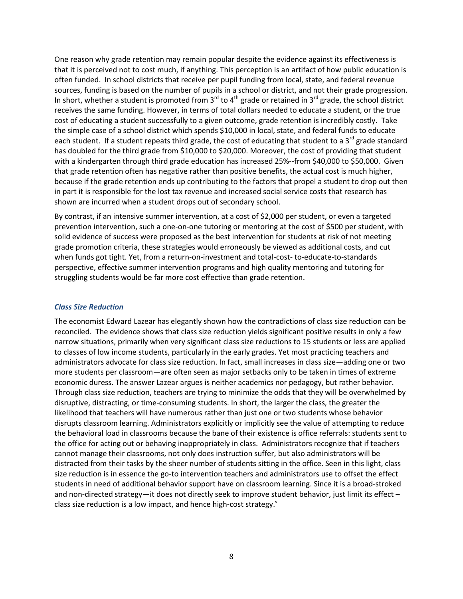One reason why grade retention may remain popular despite the evidence against its effectiveness is that it is perceived not to cost much, if anything. This perception is an artifact of how public education is often funded. In school districts that receive per pupil funding from local, state, and federal revenue sources, funding is based on the number of pupils in a school or district, and not their grade progression. In short, whether a student is promoted from  $3^{rd}$  to 4<sup>th</sup> grade or retained in  $3^{rd}$  grade, the school district receives the same funding. However, in terms of total dollars needed to educate a student, or the true cost of educating a student successfully to a given outcome, grade retention is incredibly costly. Take the simple case of a school district which spends \$10,000 in local, state, and federal funds to educate each student. If a student repeats third grade, the cost of educating that student to a 3<sup>rd</sup> grade standard has doubled for the third grade from \$10,000 to \$20,000. Moreover, the cost of providing that student with a kindergarten through third grade education has increased 25%--from \$40,000 to \$50,000. Given that grade retention often has negative rather than positive benefits, the actual cost is much higher, because if the grade retention ends up contributing to the factors that propel a student to drop out then in part it is responsible for the lost tax revenue and increased social service costs that research has shown are incurred when a student drops out of secondary school.

By contrast, if an intensive summer intervention, at a cost of \$2,000 per student, or even a targeted prevention intervention, such a one-on-one tutoring or mentoring at the cost of \$500 per student, with solid evidence of success were proposed as the best intervention for students at risk of not meeting grade promotion criteria, these strategies would erroneously be viewed as additional costs, and cut when funds got tight. Yet, from a return-on-investment and total-cost- to-educate-to-standards perspective, effective summer intervention programs and high quality mentoring and tutoring for struggling students would be far more cost effective than grade retention.

## *Class Size Reduction*

The economist Edward Lazear has elegantly shown how the contradictions of class size reduction can be reconciled. The evidence shows that class size reduction yields significant positive results in only a few narrow situations, primarily when very significant class size reductions to 15 students or less are applied to classes of low income students, particularly in the early grades. Yet most practicing teachers and administrators advocate for class size reduction. In fact, small increases in class size—adding one or two more students per classroom—are often seen as major setbacks only to be taken in times of extreme economic duress. The answer Lazear argues is neither academics nor pedagogy, but rather behavior. Through class size reduction, teachers are trying to minimize the odds that they will be overwhelmed by disruptive, distracting, or time-consuming students. In short, the larger the class, the greater the likelihood that teachers will have numerous rather than just one or two students whose behavior disrupts classroom learning. Administrators explicitly or implicitly see the value of attempting to reduce the behavioral load in classrooms because the bane of their existence is office referrals: students sent to the office for acting out or behaving inappropriately in class. Administrators recognize that if teachers cannot manage their classrooms, not only does instruction suffer, but also administrators will be distracted from their tasks by the sheer number of students sitting in the office. Seen in this light, class size reduction is in essence the go-to intervention teachers and administrators use to offset the effect students in need of additional behavior support have on classroom learning. Since it is a broad-stroked and non-directed strategy—it does not directly seek to improve student behavior, just limit its effect – class size reduction is a low impact, and hence high-cost strategy. $^{\text{vi}}$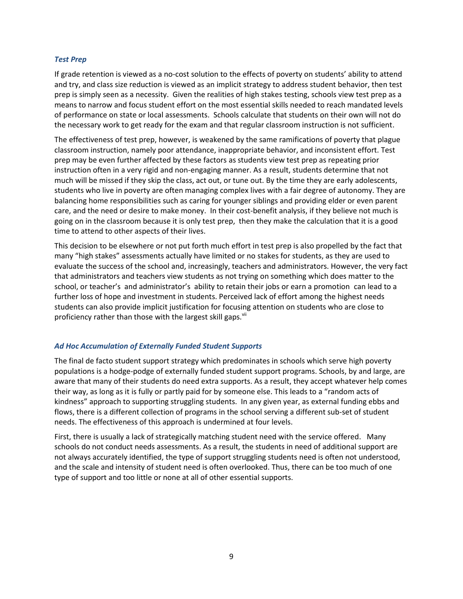## *Test Prep*

If grade retention is viewed as a no-cost solution to the effects of poverty on students' ability to attend and try, and class size reduction is viewed as an implicit strategy to address student behavior, then test prep is simply seen as a necessity. Given the realities of high stakes testing, schools view test prep as a means to narrow and focus student effort on the most essential skills needed to reach mandated levels of performance on state or local assessments. Schools calculate that students on their own will not do the necessary work to get ready for the exam and that regular classroom instruction is not sufficient.

The effectiveness of test prep, however, is weakened by the same ramifications of poverty that plague classroom instruction, namely poor attendance, inappropriate behavior, and inconsistent effort. Test prep may be even further affected by these factors as students view test prep as repeating prior instruction often in a very rigid and non-engaging manner. As a result, students determine that not much will be missed if they skip the class, act out, or tune out. By the time they are early adolescents, students who live in poverty are often managing complex lives with a fair degree of autonomy. They are balancing home responsibilities such as caring for younger siblings and providing elder or even parent care, and the need or desire to make money. In their cost-benefit analysis, if they believe not much is going on in the classroom because it is only test prep, then they make the calculation that it is a good time to attend to other aspects of their lives.

This decision to be elsewhere or not put forth much effort in test prep is also propelled by the fact that many "high stakes" assessments actually have limited or no stakes for students, as they are used to evaluate the success of the school and, increasingly, teachers and administrators. However, the very fact that administrators and teachers view students as not trying on something which does matter to the school, or teacher's and administrator's ability to retain their jobs or earn a promotion can lead to a further loss of hope and investment in students. Perceived lack of effort among the highest needs students can also provide implicit justification for focusing attention on students who are close to proficiency rather than those with the largest skill gaps. VII

## *Ad Hoc Accumulation of Externally Funded Student Supports*

The final de facto student support strategy which predominates in schools which serve high poverty populations is a hodge-podge of externally funded student support programs. Schools, by and large, are aware that many of their students do need extra supports. As a result, they accept whatever help comes their way, as long as it is fully or partly paid for by someone else. This leads to a "random acts of kindness" approach to supporting struggling students. In any given year, as external funding ebbs and flows, there is a different collection of programs in the school serving a different sub-set of student needs. The effectiveness of this approach is undermined at four levels.

First, there is usually a lack of strategically matching student need with the service offered. Many schools do not conduct needs assessments. As a result, the students in need of additional support are not always accurately identified, the type of support struggling students need is often not understood, and the scale and intensity of student need is often overlooked. Thus, there can be too much of one type of support and too little or none at all of other essential supports.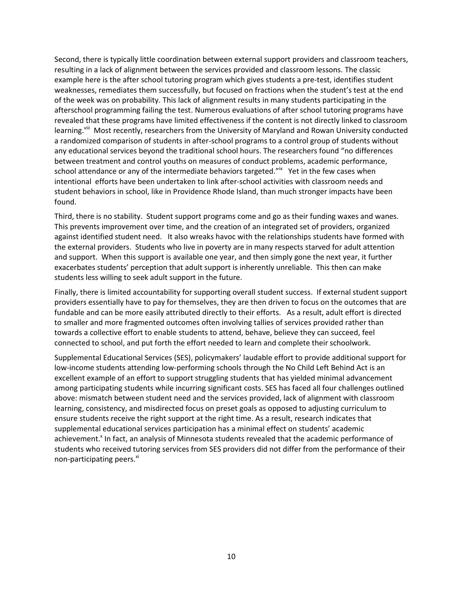Second, there is typically little coordination between external support providers and classroom teachers, resulting in a lack of alignment between the services provided and classroom lessons. The classic example here is the after school tutoring program which gives students a pre-test, identifies student weaknesses, remediates them successfully, but focused on fractions when the student's test at the end of the week was on probability. This lack of alignment results in many students participating in the afterschool programming failing the test. Numerous evaluations of after school tutoring programs have revealed that these programs have limited effectiveness if the content is not directly linked to classroom learning.<sup>viii</sup> Most recently, researchers from the University of Maryland and Rowan University conducted a randomized comparison of students in after-school programs to a control group of students without any educational services beyond the traditional school hours. The researchers found "no differences between treatment and control youths on measures of conduct problems, academic performance, school attendance or any of the intermediate behaviors targeted."<sup>ix</sup> Yet in the few cases when intentional efforts have been undertaken to link after-school activities with classroom needs and student behaviors in school, like in Providence Rhode Island, than much stronger impacts have been found.

Third, there is no stability. Student support programs come and go as their funding waxes and wanes. This prevents improvement over time, and the creation of an integrated set of providers, organized against identified student need. It also wreaks havoc with the relationships students have formed with the external providers. Students who live in poverty are in many respects starved for adult attention and support. When this support is available one year, and then simply gone the next year, it further exacerbates students' perception that adult support is inherently unreliable. This then can make students less willing to seek adult support in the future.

Finally, there is limited accountability for supporting overall student success. If external student support providers essentially have to pay for themselves, they are then driven to focus on the outcomes that are fundable and can be more easily attributed directly to their efforts. As a result, adult effort is directed to smaller and more fragmented outcomes often involving tallies of services provided rather than towards a collective effort to enable students to attend, behave, believe they can succeed, feel connected to school, and put forth the effort needed to learn and complete their schoolwork.

Supplemental Educational Services (SES), policymakers' laudable effort to provide additional support for low-income students attending low-performing schools through the No Child Left Behind Act is an excellent example of an effort to support struggling students that has yielded minimal advancement among participating students while incurring significant costs. SES has faced all four challenges outlined above: mismatch between student need and the services provided, lack of alignment with classroom learning, consistency, and misdirected focus on preset goals as opposed to adjusting curriculum to ensure students receive the right support at the right time. As a result, research indicates that supplemental educational services participation has a minimal effect on students' academic achievement.<sup>x</sup> In fact, an analysis of Minnesota students revealed that the academic performance of students who received tutoring services from SES providers did not differ from the performance of their non-participating peers.<sup>xi</sup>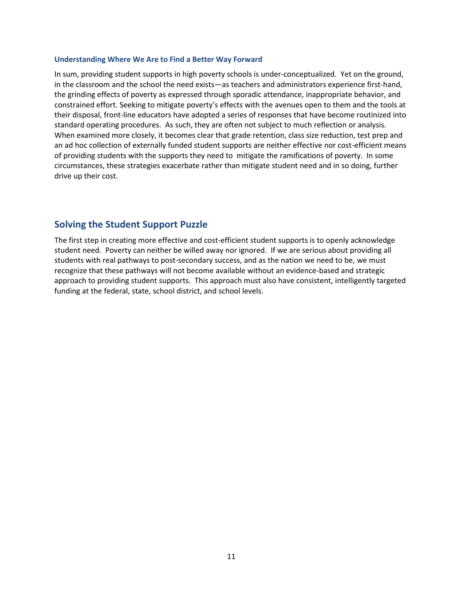### **Understanding Where We Are to Find a Better Way Forward**

In sum, providing student supports in high poverty schools is under-conceptualized. Yet on the ground, in the classroom and the school the need exists—as teachers and administrators experience first-hand, the grinding effects of poverty as expressed through sporadic attendance, inappropriate behavior, and constrained effort. Seeking to mitigate poverty's effects with the avenues open to them and the tools at their disposal, front-line educators have adopted a series of responses that have become routinized into standard operating procedures. As such, they are often not subject to much reflection or analysis. When examined more closely, it becomes clear that grade retention, class size reduction, test prep and an ad hoc collection of externally funded student supports are neither effective nor cost-efficient means of providing students with the supports they need to mitigate the ramifications of poverty. In some circumstances, these strategies exacerbate rather than mitigate student need and in so doing, further drive up their cost.

## **Solving the Student Support Puzzle**

The first step in creating more effective and cost-efficient student supports is to openly acknowledge student need. Poverty can neither be willed away nor ignored. If we are serious about providing all students with real pathways to post-secondary success, and as the nation we need to be, we must recognize that these pathways will not become available without an evidence-based and strategic approach to providing student supports. This approach must also have consistent, intelligently targeted funding at the federal, state, school district, and school levels.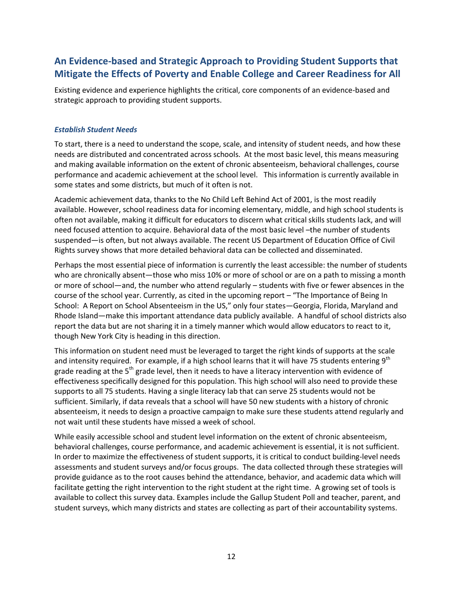# **An Evidence-based and Strategic Approach to Providing Student Supports that Mitigate the Effects of Poverty and Enable College and Career Readiness for All**

Existing evidence and experience highlights the critical, core components of an evidence-based and strategic approach to providing student supports.

## *Establish Student Needs*

To start, there is a need to understand the scope, scale, and intensity of student needs, and how these needs are distributed and concentrated across schools. At the most basic level, this means measuring and making available information on the extent of chronic absenteeism, behavioral challenges, course performance and academic achievement at the school level. This information is currently available in some states and some districts, but much of it often is not.

Academic achievement data, thanks to the No Child Left Behind Act of 2001, is the most readily available. However, school readiness data for incoming elementary, middle, and high school students is often not available, making it difficult for educators to discern what critical skills students lack, and will need focused attention to acquire. Behavioral data of the most basic level –the number of students suspended—is often, but not always available. The recent US Department of Education Office of Civil Rights survey shows that more detailed behavioral data can be collected and disseminated.

Perhaps the most essential piece of information is currently the least accessible: the number of students who are chronically absent—those who miss 10% or more of school or are on a path to missing a month or more of school—and, the number who attend regularly – students with five or fewer absences in the course of the school year. Currently, as cited in the upcoming report – "The Importance of Being In School: A Report on School Absenteeism in the US," only four states—Georgia, Florida, Maryland and Rhode Island—make this important attendance data publicly available. A handful of school districts also report the data but are not sharing it in a timely manner which would allow educators to react to it, though New York City is heading in this direction.

This information on student need must be leveraged to target the right kinds of supports at the scale and intensity required. For example, if a high school learns that it will have 75 students entering  $9<sup>th</sup>$ grade reading at the 5<sup>th</sup> grade level, then it needs to have a literacy intervention with evidence of effectiveness specifically designed for this population. This high school will also need to provide these supports to all 75 students. Having a single literacy lab that can serve 25 students would not be sufficient. Similarly, if data reveals that a school will have 50 new students with a history of chronic absenteeism, it needs to design a proactive campaign to make sure these students attend regularly and not wait until these students have missed a week of school.

While easily accessible school and student level information on the extent of chronic absenteeism, behavioral challenges, course performance, and academic achievement is essential, it is not sufficient. In order to maximize the effectiveness of student supports, it is critical to conduct building-level needs assessments and student surveys and/or focus groups. The data collected through these strategies will provide guidance as to the root causes behind the attendance, behavior, and academic data which will facilitate getting the right intervention to the right student at the right time. A growing set of tools is available to collect this survey data. Examples include the Gallup Student Poll and teacher, parent, and student surveys, which many districts and states are collecting as part of their accountability systems.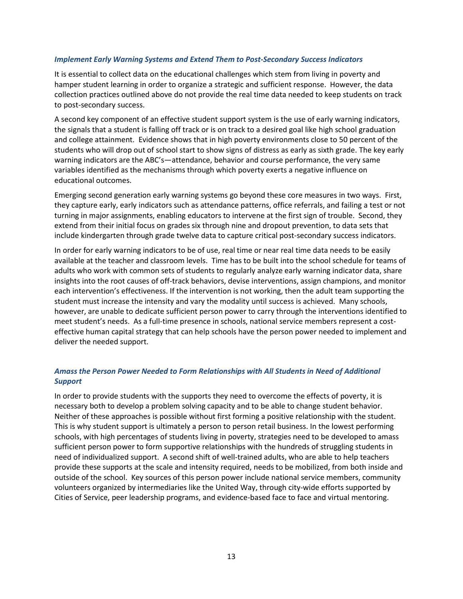## *Implement Early Warning Systems and Extend Them to Post-Secondary Success Indicators*

It is essential to collect data on the educational challenges which stem from living in poverty and hamper student learning in order to organize a strategic and sufficient response. However, the data collection practices outlined above do not provide the real time data needed to keep students on track to post-secondary success.

A second key component of an effective student support system is the use of early warning indicators, the signals that a student is falling off track or is on track to a desired goal like high school graduation and college attainment. Evidence shows that in high poverty environments close to 50 percent of the students who will drop out of school start to show signs of distress as early as sixth grade. The key early warning indicators are the ABC's—attendance, behavior and course performance, the very same variables identified as the mechanisms through which poverty exerts a negative influence on educational outcomes.

Emerging second generation early warning systems go beyond these core measures in two ways. First, they capture early, early indicators such as attendance patterns, office referrals, and failing a test or not turning in major assignments, enabling educators to intervene at the first sign of trouble. Second, they extend from their initial focus on grades six through nine and dropout prevention, to data sets that include kindergarten through grade twelve data to capture critical post-secondary success indicators.

In order for early warning indicators to be of use, real time or near real time data needs to be easily available at the teacher and classroom levels. Time has to be built into the school schedule for teams of adults who work with common sets of students to regularly analyze early warning indicator data, share insights into the root causes of off-track behaviors, devise interventions, assign champions, and monitor each intervention's effectiveness. If the intervention is not working, then the adult team supporting the student must increase the intensity and vary the modality until success is achieved. Many schools, however, are unable to dedicate sufficient person power to carry through the interventions identified to meet student's needs. As a full-time presence in schools, national service members represent a costeffective human capital strategy that can help schools have the person power needed to implement and deliver the needed support.

## *Amass the Person Power Needed to Form Relationships with All Students in Need of Additional Support*

In order to provide students with the supports they need to overcome the effects of poverty, it is necessary both to develop a problem solving capacity and to be able to change student behavior. Neither of these approaches is possible without first forming a positive relationship with the student. This is why student support is ultimately a person to person retail business. In the lowest performing schools, with high percentages of students living in poverty, strategies need to be developed to amass sufficient person power to form supportive relationships with the hundreds of struggling students in need of individualized support. A second shift of well-trained adults, who are able to help teachers provide these supports at the scale and intensity required, needs to be mobilized, from both inside and outside of the school. Key sources of this person power include national service members, community volunteers organized by intermediaries like the United Way, through city-wide efforts supported by Cities of Service, peer leadership programs, and evidence-based face to face and virtual mentoring.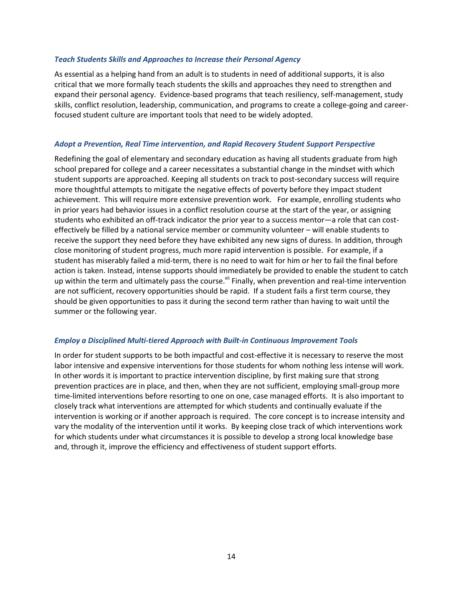## *Teach Students Skills and Approaches to Increase their Personal Agency*

As essential as a helping hand from an adult is to students in need of additional supports, it is also critical that we more formally teach students the skills and approaches they need to strengthen and expand their personal agency. Evidence-based programs that teach resiliency, self-management, study skills, conflict resolution, leadership, communication, and programs to create a college-going and careerfocused student culture are important tools that need to be widely adopted.

## *Adopt a Prevention, Real Time intervention, and Rapid Recovery Student Support Perspective*

Redefining the goal of elementary and secondary education as having all students graduate from high school prepared for college and a career necessitates a substantial change in the mindset with which student supports are approached. Keeping all students on track to post-secondary success will require more thoughtful attempts to mitigate the negative effects of poverty before they impact student achievement. This will require more extensive prevention work. For example, enrolling students who in prior years had behavior issues in a conflict resolution course at the start of the year, or assigning students who exhibited an off-track indicator the prior year to a success mentor—a role that can costeffectively be filled by a national service member or community volunteer – will enable students to receive the support they need before they have exhibited any new signs of duress. In addition, through close monitoring of student progress, much more rapid intervention is possible. For example, if a student has miserably failed a mid-term, there is no need to wait for him or her to fail the final before action is taken. Instead, intense supports should immediately be provided to enable the student to catch up within the term and ultimately pass the course.<sup>xii</sup> Finally, when prevention and real-time intervention are not sufficient, recovery opportunities should be rapid. If a student fails a first term course, they should be given opportunities to pass it during the second term rather than having to wait until the summer or the following year.

## *Employ a Disciplined Multi-tiered Approach with Built-in Continuous Improvement Tools*

In order for student supports to be both impactful and cost-effective it is necessary to reserve the most labor intensive and expensive interventions for those students for whom nothing less intense will work. In other words it is important to practice intervention discipline, by first making sure that strong prevention practices are in place, and then, when they are not sufficient, employing small-group more time-limited interventions before resorting to one on one, case managed efforts. It is also important to closely track what interventions are attempted for which students and continually evaluate if the intervention is working or if another approach is required. The core concept is to increase intensity and vary the modality of the intervention until it works. By keeping close track of which interventions work for which students under what circumstances it is possible to develop a strong local knowledge base and, through it, improve the efficiency and effectiveness of student support efforts.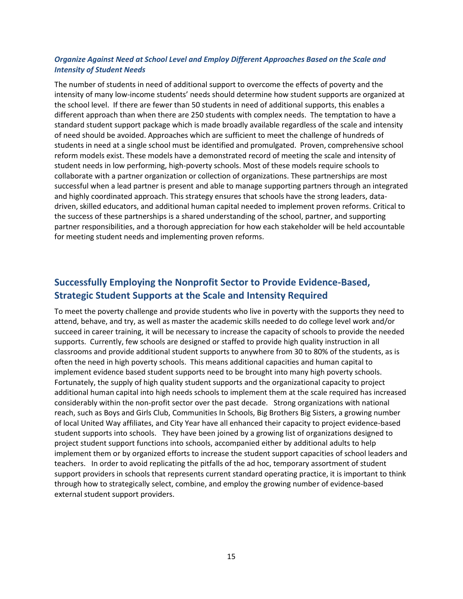## *Organize Against Need at School Level and Employ Different Approaches Based on the Scale and Intensity of Student Needs*

The number of students in need of additional support to overcome the effects of poverty and the intensity of many low-income students' needs should determine how student supports are organized at the school level. If there are fewer than 50 students in need of additional supports, this enables a different approach than when there are 250 students with complex needs. The temptation to have a standard student support package which is made broadly available regardless of the scale and intensity of need should be avoided. Approaches which are sufficient to meet the challenge of hundreds of students in need at a single school must be identified and promulgated. Proven, comprehensive school reform models exist. These models have a demonstrated record of meeting the scale and intensity of student needs in low performing, high-poverty schools. Most of these models require schools to collaborate with a partner organization or collection of organizations. These partnerships are most successful when a lead partner is present and able to manage supporting partners through an integrated and highly coordinated approach. This strategy ensures that schools have the strong leaders, datadriven, skilled educators, and additional human capital needed to implement proven reforms. Critical to the success of these partnerships is a shared understanding of the school, partner, and supporting partner responsibilities, and a thorough appreciation for how each stakeholder will be held accountable for meeting student needs and implementing proven reforms.

## **Successfully Employing the Nonprofit Sector to Provide Evidence-Based, Strategic Student Supports at the Scale and Intensity Required**

To meet the poverty challenge and provide students who live in poverty with the supports they need to attend, behave, and try, as well as master the academic skills needed to do college level work and/or succeed in career training, it will be necessary to increase the capacity of schools to provide the needed supports. Currently, few schools are designed or staffed to provide high quality instruction in all classrooms and provide additional student supports to anywhere from 30 to 80% of the students, as is often the need in high poverty schools. This means additional capacities and human capital to implement evidence based student supports need to be brought into many high poverty schools. Fortunately, the supply of high quality student supports and the organizational capacity to project additional human capital into high needs schools to implement them at the scale required has increased considerably within the non-profit sector over the past decade. Strong organizations with national reach, such as Boys and Girls Club, Communities In Schools, Big Brothers Big Sisters, a growing number of local United Way affiliates, and City Year have all enhanced their capacity to project evidence-based student supports into schools. They have been joined by a growing list of organizations designed to project student support functions into schools, accompanied either by additional adults to help implement them or by organized efforts to increase the student support capacities of school leaders and teachers. In order to avoid replicating the pitfalls of the ad hoc, temporary assortment of student support providers in schools that represents current standard operating practice, it is important to think through how to strategically select, combine, and employ the growing number of evidence-based external student support providers.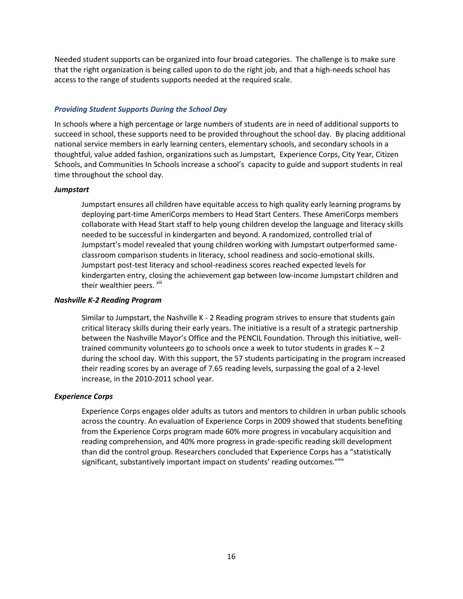Needed student supports can be organized into four broad categories. The challenge is to make sure that the right organization is being called upon to do the right job, and that a high-needs school has access to the range of students supports needed at the required scale.

## *Providing Student Supports During the School Day*

In schools where a high percentage or large numbers of students are in need of additional supports to succeed in school, these supports need to be provided throughout the school day. By placing additional national service members in early learning centers, elementary schools, and secondary schools in a thoughtful, value added fashion, organizations such as Jumpstart, Experience Corps, City Year, Citizen Schools, and Communities In Schools increase a school's capacity to guide and support students in real time throughout the school day.

## *Jumpstart*

Jumpstart ensures all children have equitable access to high quality early learning programs by deploying part-time AmeriCorps members to Head Start Centers. These AmeriCorps members collaborate with Head Start staff to help young children develop the language and literacy skills needed to be successful in kindergarten and beyond. A randomized, controlled trial of Jumpstart's model revealed that young children working with Jumpstart outperformed sameclassroom comparison students in literacy, school readiness and socio-emotional skills. Jumpstart post-test literacy and school-readiness scores reached expected levels for kindergarten entry, closing the achievement gap between low-income Jumpstart children and their wealthier peers. <sup>xiii</sup>

## *Nashville K-2 Reading Program*

Similar to Jumpstart, the Nashville K - 2 Reading program strives to ensure that students gain critical literacy skills during their early years. The initiative is a result of a strategic partnership between the Nashville Mayor's Office and the PENCIL Foundation. Through this initiative, welltrained community volunteers go to schools once a week to tutor students in grades  $K - 2$ during the school day. With this support, the 57 students participating in the program increased their reading scores by an average of 7.65 reading levels, surpassing the goal of a 2-level increase, in the 2010-2011 school year.

## *Experience Corps*

Experience Corps engages older adults as tutors and mentors to children in urban public schools across the country. An evaluation of Experience Corps in 2009 showed that students benefiting from the Experience Corps program made 60% more progress in vocabulary acquisition and reading comprehension, and 40% more progress in grade-specific reading skill development than did the control group. Researchers concluded that Experience Corps has a "statistically significant, substantively important impact on students' reading outcomes."<sup>xiv</sup>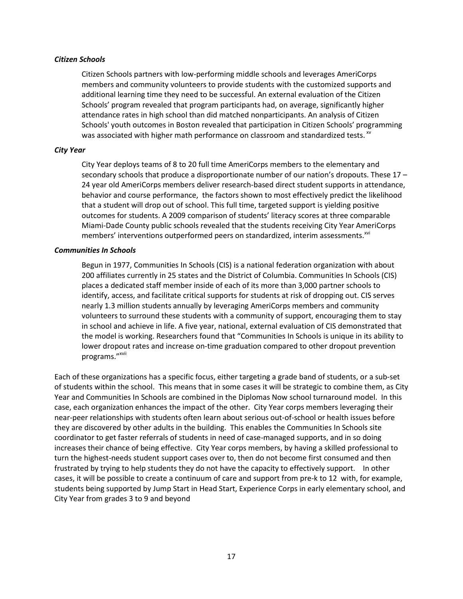## *Citizen Schools*

Citizen Schools partners with low-performing middle schools and leverages AmeriCorps members and community volunteers to provide students with the customized supports and additional learning time they need to be successful. An external evaluation of the Citizen Schools' program revealed that program participants had, on average, significantly higher attendance rates in high school than did matched nonparticipants. An analysis of Citizen Schools' youth outcomes in Boston revealed that participation in Citizen Schools' programming was associated with higher math performance on classroom and standardized tests.  $^{x}$ 

## *City Year*

City Year deploys teams of 8 to 20 full time AmeriCorps members to the elementary and secondary schools that produce a disproportionate number of our nation's dropouts. These 17 – 24 year old AmeriCorps members deliver research-based direct student supports in attendance, behavior and course performance, the factors shown to most effectively predict the likelihood that a student will drop out of school. This full time, targeted support is yielding positive outcomes for students. A 2009 comparison of students' literacy scores at three comparable Miami-Dade County public schools revealed that the students receiving City Year AmeriCorps members' interventions outperformed peers on standardized, interim assessments.<sup>xvi</sup>

## *Communities In Schools*

Begun in 1977, Communities In Schools (CIS) is a national federation organization with about 200 affiliates currently in 25 states and the District of Columbia. Communities In Schools (CIS) places a dedicated staff member inside of each of its more than 3,000 partner schools to identify, access, and facilitate critical supports for students at risk of dropping out. CIS serves nearly 1.3 million students annually by leveraging AmeriCorps members and community volunteers to surround these students with a community of support, encouraging them to stay in school and achieve in life. A five year, national, external evaluation of CIS demonstrated that the model is working. Researchers found that "Communities In Schools is unique in its ability to lower dropout rates and increase on-time graduation compared to other dropout prevention programs."<sup>xvii</sup>

Each of these organizations has a specific focus, either targeting a grade band of students, or a sub-set of students within the school. This means that in some cases it will be strategic to combine them, as City Year and Communities In Schools are combined in the Diplomas Now school turnaround model. In this case, each organization enhances the impact of the other. City Year corps members leveraging their near-peer relationships with students often learn about serious out-of-school or health issues before they are discovered by other adults in the building. This enables the Communities In Schools site coordinator to get faster referrals of students in need of case-managed supports, and in so doing increases their chance of being effective. City Year corps members, by having a skilled professional to turn the highest-needs student support cases over to, then do not become first consumed and then frustrated by trying to help students they do not have the capacity to effectively support. In other cases, it will be possible to create a continuum of care and support from pre-k to 12 with, for example, students being supported by Jump Start in Head Start, Experience Corps in early elementary school, and City Year from grades 3 to 9 and beyond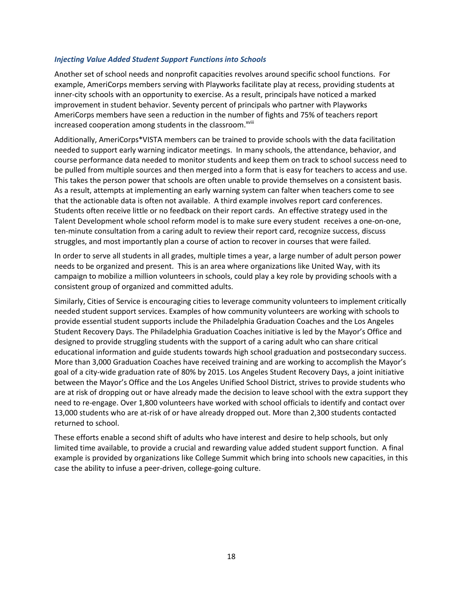## *Injecting Value Added Student Support Functions into Schools*

Another set of school needs and nonprofit capacities revolves around specific school functions. For example, AmeriCorps members serving with Playworks facilitate play at recess, providing students at inner-city schools with an opportunity to exercise. As a result, principals have noticed a marked improvement in student behavior. Seventy percent of principals who partner with Playworks AmeriCorps members have seen a reduction in the number of fights and 75% of teachers report increased cooperation among students in the classroom. $^{x}$ viii

Additionally, AmeriCorps\*VISTA members can be trained to provide schools with the data facilitation needed to support early warning indicator meetings. In many schools, the attendance, behavior, and course performance data needed to monitor students and keep them on track to school success need to be pulled from multiple sources and then merged into a form that is easy for teachers to access and use. This takes the person power that schools are often unable to provide themselves on a consistent basis. As a result, attempts at implementing an early warning system can falter when teachers come to see that the actionable data is often not available. A third example involves report card conferences. Students often receive little or no feedback on their report cards. An effective strategy used in the Talent Development whole school reform model is to make sure every student receives a one-on-one, ten-minute consultation from a caring adult to review their report card, recognize success, discuss struggles, and most importantly plan a course of action to recover in courses that were failed.

In order to serve all students in all grades, multiple times a year, a large number of adult person power needs to be organized and present. This is an area where organizations like United Way, with its campaign to mobilize a million volunteers in schools, could play a key role by providing schools with a consistent group of organized and committed adults.

Similarly, Cities of Service is encouraging cities to leverage community volunteers to implement critically needed student support services. Examples of how community volunteers are working with schools to provide essential student supports include the Philadelphia Graduation Coaches and the Los Angeles Student Recovery Days. The Philadelphia Graduation Coaches initiative is led by the Mayor's Office and designed to provide struggling students with the support of a caring adult who can share critical educational information and guide students towards high school graduation and postsecondary success. More than 3,000 Graduation Coaches have received training and are working to accomplish the Mayor's goal of a city-wide graduation rate of 80% by 2015. Los Angeles Student Recovery Days, a joint initiative between the Mayor's Office and the Los Angeles Unified School District, strives to provide students who are at risk of dropping out or have already made the decision to leave school with the extra support they need to re-engage. Over 1,800 volunteers have worked with school officials to identify and contact over 13,000 students who are at-risk of or have already dropped out. More than 2,300 students contacted returned to school.

These efforts enable a second shift of adults who have interest and desire to help schools, but only limited time available, to provide a crucial and rewarding value added student support function. A final example is provided by organizations like College Summit which bring into schools new capacities, in this case the ability to infuse a peer-driven, college-going culture.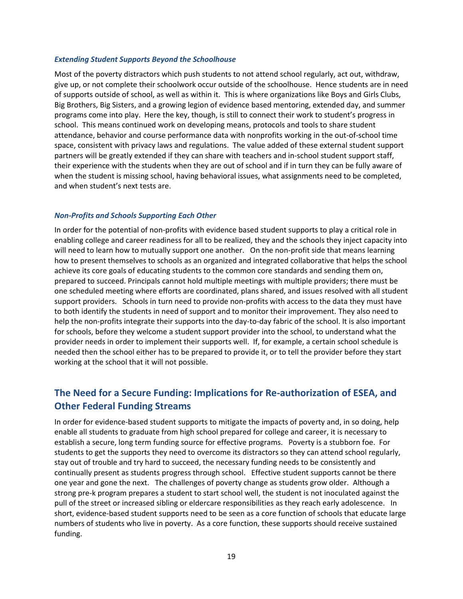### *Extending Student Supports Beyond the Schoolhouse*

Most of the poverty distractors which push students to not attend school regularly, act out, withdraw, give up, or not complete their schoolwork occur outside of the schoolhouse. Hence students are in need of supports outside of school, as well as within it. This is where organizations like Boys and Girls Clubs, Big Brothers, Big Sisters, and a growing legion of evidence based mentoring, extended day, and summer programs come into play. Here the key, though, is still to connect their work to student's progress in school. This means continued work on developing means, protocols and tools to share student attendance, behavior and course performance data with nonprofits working in the out-of-school time space, consistent with privacy laws and regulations. The value added of these external student support partners will be greatly extended if they can share with teachers and in-school student support staff, their experience with the students when they are out of school and if in turn they can be fully aware of when the student is missing school, having behavioral issues, what assignments need to be completed, and when student's next tests are.

## *Non-Profits and Schools Supporting Each Other*

In order for the potential of non-profits with evidence based student supports to play a critical role in enabling college and career readiness for all to be realized, they and the schools they inject capacity into will need to learn how to mutually support one another. On the non-profit side that means learning how to present themselves to schools as an organized and integrated collaborative that helps the school achieve its core goals of educating students to the common core standards and sending them on, prepared to succeed. Principals cannot hold multiple meetings with multiple providers; there must be one scheduled meeting where efforts are coordinated, plans shared, and issues resolved with all student support providers. Schools in turn need to provide non-profits with access to the data they must have to both identify the students in need of support and to monitor their improvement. They also need to help the non-profits integrate their supports into the day-to-day fabric of the school. It is also important for schools, before they welcome a student support provider into the school, to understand what the provider needs in order to implement their supports well. If, for example, a certain school schedule is needed then the school either has to be prepared to provide it, or to tell the provider before they start working at the school that it will not possible.

## **The Need for a Secure Funding: Implications for Re-authorization of ESEA, and Other Federal Funding Streams**

In order for evidence-based student supports to mitigate the impacts of poverty and, in so doing, help enable all students to graduate from high school prepared for college and career, it is necessary to establish a secure, long term funding source for effective programs. Poverty is a stubborn foe. For students to get the supports they need to overcome its distractors so they can attend school regularly, stay out of trouble and try hard to succeed, the necessary funding needs to be consistently and continually present as students progress through school. Effective student supports cannot be there one year and gone the next. The challenges of poverty change as students grow older. Although a strong pre-k program prepares a student to start school well, the student is not inoculated against the pull of the street or increased sibling or eldercare responsibilities as they reach early adolescence. In short, evidence-based student supports need to be seen as a core function of schools that educate large numbers of students who live in poverty. As a core function, these supports should receive sustained funding.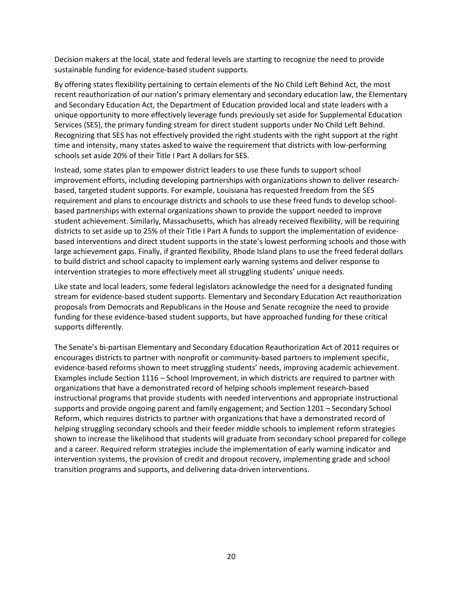Decision makers at the local, state and federal levels are starting to recognize the need to provide sustainable funding for evidence-based student supports.

By offering states flexibility pertaining to certain elements of the No Child Left Behind Act, the most recent reauthorization of our nation's primary elementary and secondary education law, the Elementary and Secondary Education Act, the Department of Education provided local and state leaders with a unique opportunity to more effectively leverage funds previously set aside for Supplemental Education Services (SES), the primary funding stream for direct student supports under No Child Left Behind. Recognizing that SES has not effectively provided the right students with the right support at the right time and intensity, many states asked to waive the requirement that districts with low-performing schools set aside 20% of their Title I Part A dollars for SES.

Instead, some states plan to empower district leaders to use these funds to support school improvement efforts, including developing partnerships with organizations shown to deliver researchbased, targeted student supports. For example, Louisiana has requested freedom from the SES requirement and plans to encourage districts and schools to use these freed funds to develop schoolbased partnerships with external organizations shown to provide the support needed to improve student achievement. Similarly, Massachusetts, which has already received flexibility, will be requiring districts to set aside up to 25% of their Title I Part A funds to support the implementation of evidencebased interventions and direct student supports in the state's lowest performing schools and those with large achievement gaps. Finally, if granted flexibility, Rhode Island plans to use the freed federal dollars to build district and school capacity to implement early warning systems and deliver response to intervention strategies to more effectively meet all struggling students' unique needs.

Like state and local leaders, some federal legislators acknowledge the need for a designated funding stream for evidence-based student supports. Elementary and Secondary Education Act reauthorization proposals from Democrats and Republicans in the House and Senate recognize the need to provide funding for these evidence-based student supports, but have approached funding for these critical supports differently.

The Senate's bi-partisan Elementary and Secondary Education Reauthorization Act of 2011 requires or encourages districts to partner with nonprofit or community-based partners to implement specific, evidence-based reforms shown to meet struggling students' needs, improving academic achievement. Examples include Section 1116 – School Improvement, in which districts are required to partner with organizations that have a demonstrated record of helping schools implement research-based instructional programs that provide students with needed interventions and appropriate instructional supports and provide ongoing parent and family engagement; and Section 1201 – Secondary School Reform, which requires districts to partner with organizations that have a demonstrated record of helping struggling secondary schools and their feeder middle schools to implement reform strategies shown to increase the likelihood that students will graduate from secondary school prepared for college and a career. Required reform strategies include the implementation of early warning indicator and intervention systems, the provision of credit and dropout recovery, implementing grade and school transition programs and supports, and delivering data-driven interventions.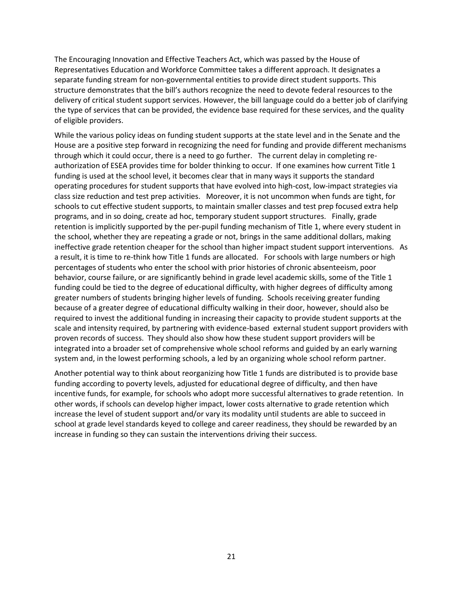The Encouraging Innovation and Effective Teachers Act, which was passed by the House of Representatives Education and Workforce Committee takes a different approach. It designates a separate funding stream for non-governmental entities to provide direct student supports. This structure demonstrates that the bill's authors recognize the need to devote federal resources to the delivery of critical student support services. However, the bill language could do a better job of clarifying the type of services that can be provided, the evidence base required for these services, and the quality of eligible providers.

While the various policy ideas on funding student supports at the state level and in the Senate and the House are a positive step forward in recognizing the need for funding and provide different mechanisms through which it could occur, there is a need to go further. The current delay in completing reauthorization of ESEA provides time for bolder thinking to occur. If one examines how current Title 1 funding is used at the school level, it becomes clear that in many ways it supports the standard operating procedures for student supports that have evolved into high-cost, low-impact strategies via class size reduction and test prep activities. Moreover, it is not uncommon when funds are tight, for schools to cut effective student supports, to maintain smaller classes and test prep focused extra help programs, and in so doing, create ad hoc, temporary student support structures. Finally, grade retention is implicitly supported by the per-pupil funding mechanism of Title 1, where every student in the school, whether they are repeating a grade or not, brings in the same additional dollars, making ineffective grade retention cheaper for the school than higher impact student support interventions. As a result, it is time to re-think how Title 1 funds are allocated. For schools with large numbers or high percentages of students who enter the school with prior histories of chronic absenteeism, poor behavior, course failure, or are significantly behind in grade level academic skills, some of the Title 1 funding could be tied to the degree of educational difficulty, with higher degrees of difficulty among greater numbers of students bringing higher levels of funding. Schools receiving greater funding because of a greater degree of educational difficulty walking in their door, however, should also be required to invest the additional funding in increasing their capacity to provide student supports at the scale and intensity required, by partnering with evidence-based external student support providers with proven records of success. They should also show how these student support providers will be integrated into a broader set of comprehensive whole school reforms and guided by an early warning system and, in the lowest performing schools, a led by an organizing whole school reform partner.

Another potential way to think about reorganizing how Title 1 funds are distributed is to provide base funding according to poverty levels, adjusted for educational degree of difficulty, and then have incentive funds, for example, for schools who adopt more successful alternatives to grade retention. In other words, if schools can develop higher impact, lower costs alternative to grade retention which increase the level of student support and/or vary its modality until students are able to succeed in school at grade level standards keyed to college and career readiness, they should be rewarded by an increase in funding so they can sustain the interventions driving their success.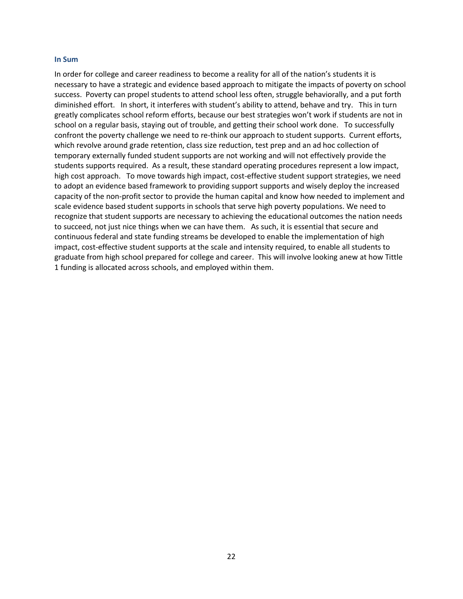#### **In Sum**

In order for college and career readiness to become a reality for all of the nation's students it is necessary to have a strategic and evidence based approach to mitigate the impacts of poverty on school success. Poverty can propel students to attend school less often, struggle behaviorally, and a put forth diminished effort. In short, it interferes with student's ability to attend, behave and try. This in turn greatly complicates school reform efforts, because our best strategies won't work if students are not in school on a regular basis, staying out of trouble, and getting their school work done. To successfully confront the poverty challenge we need to re-think our approach to student supports. Current efforts, which revolve around grade retention, class size reduction, test prep and an ad hoc collection of temporary externally funded student supports are not working and will not effectively provide the students supports required. As a result, these standard operating procedures represent a low impact, high cost approach. To move towards high impact, cost-effective student support strategies, we need to adopt an evidence based framework to providing support supports and wisely deploy the increased capacity of the non-profit sector to provide the human capital and know how needed to implement and scale evidence based student supports in schools that serve high poverty populations. We need to recognize that student supports are necessary to achieving the educational outcomes the nation needs to succeed, not just nice things when we can have them. As such, it is essential that secure and continuous federal and state funding streams be developed to enable the implementation of high impact, cost-effective student supports at the scale and intensity required, to enable all students to graduate from high school prepared for college and career. This will involve looking anew at how Tittle 1 funding is allocated across schools, and employed within them.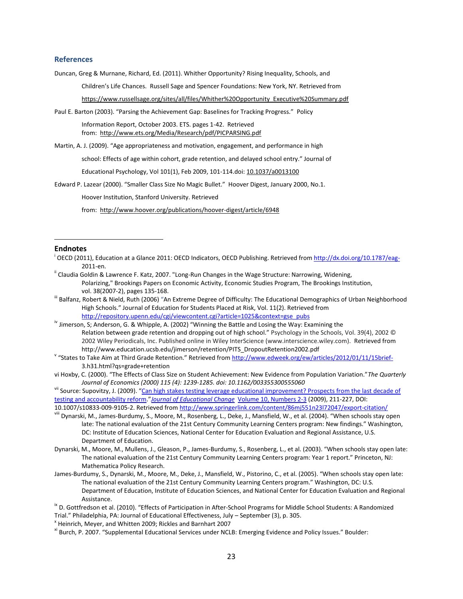#### **References**

Duncan, Greg & Murnane, Richard, Ed. (2011). Whither Opportunity? Rising Inequality, Schools, and

Children's Life Chances. Russell Sage and Spencer Foundations: New York, NY. Retrieved from

[https://www.russellsage.org/sites/all/files/Whither%20Opportunity\\_Executive%20Summary.pdf](https://www.russellsage.org/sites/all/files/Whither%20Opportunity_Executive%20Summary.pdf)

Paul E. Barton (2003). "Parsing the Achievement Gap: Baselines for Tracking Progress." Policy

Information Report, October 2003. ETS. pages 1-42. Retrieved from:<http://www.ets.org/Media/Research/pdf/PICPARSING.pdf>

Martin, A. J. (2009). "Age appropriateness and motivation, engagement, and performance in high

school: Effects of age within cohort, grade retention, and delayed school entry." Journal of

Educational Psychology, Vol 101(1), Feb 2009, 101-114.doi[: 10.1037/a0013100](http://psycnet.apa.org/doi/10.1037/a0013100)

Edward P. Lazear (2000). "Smaller Class Size No Magic Bullet." Hoover Digest, January 2000, No.1.

Hoover Institution, Stanford University. Retrieved

from: <http://www.hoover.org/publications/hoover-digest/article/6948>

#### **Endnotes**

 $\overline{a}$ 

- <sup>i</sup> OECD (2011), Education at a Glance 2011: OECD Indicators, OECD Publishing. Retrieved from <u>http://dx.doi.org/10.1787/eag-</u> 2011-en.
- <sup>ii</sup> Claudia Goldin & Lawrence F. Katz, 2007. "Long-Run Changes in the Wage Structure: Narrowing, Widening, Polarizing," Brookings Papers on Economic Activity, Economic Studies Program, The Brookings Institution, vol. 38(2007-2), pages 135-168.
- <sup>III</sup> Balfanz, Robert & Nield, Ruth (2006) "An Extreme Degree of Difficulty: The Educational Demographics of Urban Neighborhood High Schools." Journal of Education for Students Placed at Risk, Vol. 11(2). Retrieved from [http://repository.upenn.edu/cgi/viewcontent.cgi?article=1025&context=gse\\_pubs](http://repository.upenn.edu/cgi/viewcontent.cgi?article=1025&context=gse_pubs)
- $N$  Jimerson, S; Anderson, G. & Whipple, A. (2002) "Winning the Battle and Losing the Way: Examining the Relation between grade retention and dropping out of high school." Psychology in the Schools, Vol. 39(4), 2002 © 2002 Wiley Periodicals, Inc. Published online in Wiley InterScience (www.interscience.wiley.com). Retrieved from http://www.education.ucsb.edu/jimerson/retention/PITS\_DropoutRetention2002.pdf
- v "States to Take Aim at Third Grade Retention." Retrieved from <http://www.edweek.org/ew/articles/2012/01/11/15brief->3.h31.html?qs=grade+retention
- vi Hoxby, C. (2000). "The Effects of Class Size on Student Achievement: New Evidence from Population Variation."*The Quarterly Journal of Economics (2000) 115 (4): 1239-1285. doi: 10.1162/003355300555060*

vii Source: Supovitzy, J. (2009). "Can high stakes testing leverage educational improvement? Prospects from the last decade of [testing and accountability reform.](http://www.springerlink.com/content/86mj551n23l72047/)"*[Journal of Educational Change](http://www.springerlink.com/content/1389-2843/)* [Volume 10, Numbers 2-3](http://www.springerlink.com/content/1389-2843/10/2-3/) (2009), 211-227, DOI: 10.1007/s10833-009-9105-2. Retrieved fro[m http://www.springerlink.com/content/86mj551n23l72047/export-citation/](http://www.springerlink.com/content/86mj551n23l72047/export-citation/)

- viii Dynarski, M., James-Burdumy, S., Moore, M., Rosenberg, L., Deke, J., Mansfield, W., et al. (2004). "When schools stay open late: The national evaluation of the 21st Century Community Learning Centers program: New findings." Washington, DC: Institute of Education Sciences, National Center for Education Evaluation and Regional Assistance, U.S. Department of Education.
- Dynarski, M., Moore, M., Mullens, J., Gleason, P., James-Burdumy, S., Rosenberg, L., et al. (2003). "When schools stay open late: The national evaluation of the 21st Century Community Learning Centers program: Year 1 report." Princeton, NJ: Mathematica Policy Research.
- James-Burdumy, S., Dynarski, M., Moore, M., Deke, J., Mansfield, W., Pistorino, C., et al. (2005). "When schools stay open late: The national evaluation of the 21st Century Community Learning Centers program." Washington, DC: U.S. Department of Education, Institute of Education Sciences, and National Center for Education Evaluation and Regional Assistance.

<sup>ix</sup> D. Gottfredson et al. (2010). "Effects of Participation in After-School Programs for Middle School Students: A Randomized Trial." Philadelphia, PA: Journal of Educational Effectiveness, July – September (3), p. 305.

x Heinrich, Meyer, and Whitten 2009; Rickles and Barnhart 2007

<sup>&</sup>lt;sup>xi</sup> Burch, P. 2007. "Supplemental Educational Services under NCLB: Emerging Evidence and Policy Issues." Boulder: